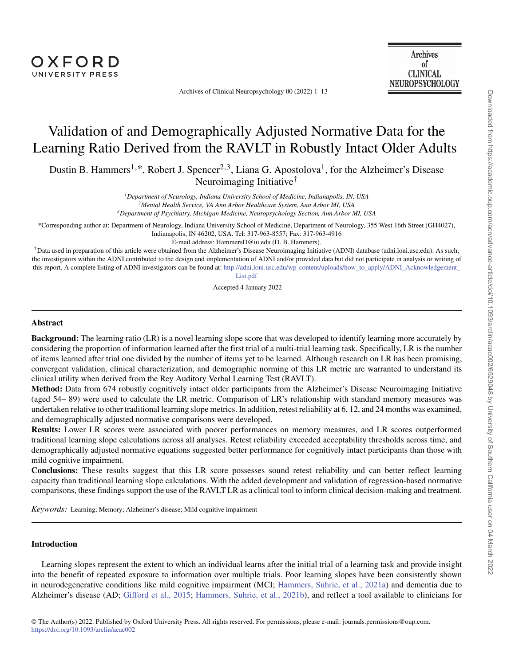Archives of Clinical Neuropsychology 00 (2022) 1–13

# Validation of and Demographically Adjusted Normative Data for the Learning Ratio Derived from the RAVLT in Robustly Intact Older Adults

Dustin B. Hammers<sup>1,\*</sup>, Robert J. Spencer<sup>2,3</sup>, Liana G. Apostolova<sup>1</sup>, for the Alzheimer's Disease Neuroimaging Initiative†

*1Department of Neurology, Indiana University School of Medicine, Indianapolis, IN, USA*

*2Mental Health Service, VA Ann Arbor Healthcare System, Ann Arbor MI, USA*

*3Department of Psychiatry, Michigan Medicine, Neuropsychology Section, Ann Arbor MI, USA*

\*Corresponding author at: Department of Neurology, Indiana University School of Medicine, Department of Neurology, 355 West 16th Street (GH4027), Indianapolis, IN 46202, USA. Tel: 317-963-8557; Fax: 317-963-4916

E-mail address: HammersD@iu.edu (D. B. Hammers).

†Data used in preparation of this article were obtained from the Alzheimer's Disease Neuroimaging Initiative (ADNI) database (adni.loni.usc.edu). As such, the investigators within the ADNI contributed to the design and implementation of ADNI and/or provided data but did not participate in analysis or writing of this report. A complete listing of ADNI investigators can be found at: [http://adni.loni.usc.edu/wp-content/uploads/how\\_to\\_apply/ADNI\\_Acknowledgement\\_](http://adni.loni.usc.edu/wp-content/uploads/how_to_apply/ADNI_Acknowledgement_List.pdf) [List.pdf](http://adni.loni.usc.edu/wp-content/uploads/how_to_apply/ADNI_Acknowledgement_List.pdf)

Accepted 4 January 2022

# **Abstract**

**Background:** The learning ratio (LR) is a novel learning slope score that was developed to identify learning more accurately by considering the proportion of information learned after the first trial of a multi-trial learning task. Specifically, LR is the number of items learned after trial one divided by the number of items yet to be learned. Although research on LR has been promising, convergent validation, clinical characterization, and demographic norming of this LR metric are warranted to understand its clinical utility when derived from the Rey Auditory Verbal Learning Test (RAVLT).

**Method:** Data from 674 robustly cognitively intact older participants from the Alzheimer's Disease Neuroimaging Initiative (aged 54– 89) were used to calculate the LR metric. Comparison of LR's relationship with standard memory measures was undertaken relative to other traditional learning slope metrics. In addition, retest reliability at 6, 12, and 24 months was examined, and demographically adjusted normative comparisons were developed.

**Results:** Lower LR scores were associated with poorer performances on memory measures, and LR scores outperformed traditional learning slope calculations across all analyses. Retest reliability exceeded acceptability thresholds across time, and demographically adjusted normative equations suggested better performance for cognitively intact participants than those with mild cognitive impairment.

**Conclusions:** These results suggest that this LR score possesses sound retest reliability and can better reflect learning capacity than traditional learning slope calculations. With the added development and validation of regression-based normative comparisons, these findings support the use of the RAVLT LR as a clinical tool to inform clinical decision-making and treatment.

*Keywords:* Learning; Memory; Alzheimer's disease; Mild cognitive impairment

## **Introduction**

Learning slopes represent the extent to which an individual learns after the initial trial of a learning task and provide insight into the benefit of repeated exposure to information over multiple trials. Poor learning slopes have been consistently shown in neurodegenerative conditions like mild cognitive impairment (MCI; [Hammers, Suhrie, et al., 2021a](#page-11-0)) and dementia due to Alzheimer's disease (AD; [Gifford et al., 2015](#page-11-1); [Hammers, Suhrie, et al., 2021b](#page-11-2)), and reflect a tool available to clinicians for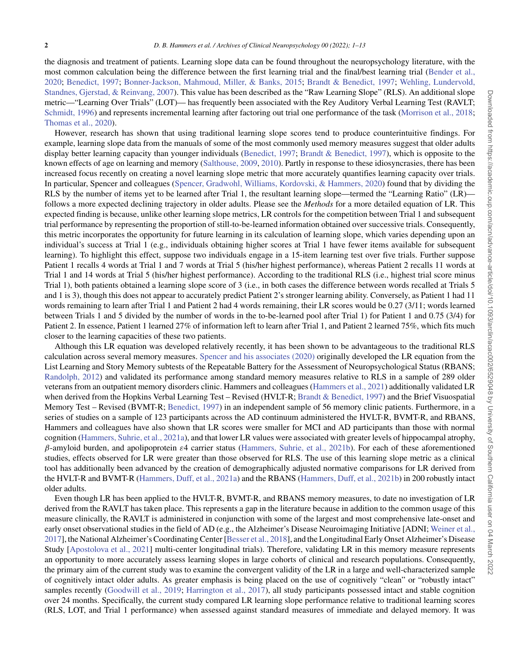the diagnosis and treatment of patients. Learning slope data can be found throughout the neuropsychology literature, with the most common calculation being the difference between the first learning trial and the final/best learning trial ([Bender et al.,](#page-10-0) 2020; [Benedict, 1997](#page-10-1); [Bonner-Jackson, Mahmoud, Miller, & Banks, 2015](#page-10-2); [Brandt & Benedict, 1997](#page-10-3); [Wehling, Lundervold,](#page-12-0) Standnes, Gjerstad, & Reinvang, 2007). This value has been described as the "Raw Learning Slope" (RLS). An additional slope metric—"Learning Over Trials" (LOT)— has frequently been associated with the Rey Auditory Verbal Learning Test (RAVLT; [Schmidt, 1996\)](#page-11-3) and represents incremental learning after factoring out trial one performance of the task ([Morrison et al., 2018;](#page-11-4) [Thomas et al., 2020](#page-12-1)).

However, research has shown that using traditional learning slope scores tend to produce counterintuitive findings. For example, learning slope data from the manuals of some of the most commonly used memory measures suggest that older adults display better learning capacity than younger individuals ([Benedict, 1997](#page-10-1); [Brandt & Benedict, 1997](#page-10-3)), which is opposite to the known effects of age on learning and memory ([Salthouse, 2009,](#page-11-5) [2010](#page-11-6)). Partly in response to these idiosyncrasies, there has been increased focus recently on creating a novel learning slope metric that more accurately quantifies learning capacity over trials. In particular, Spencer and colleagues ([Spencer, Gradwohl, Williams, Kordovski, & Hammers, 2020](#page-12-2)) found that by dividing the RLS by the number of items yet to be learned after Trial 1, the resultant learning slope—termed the "Learning Ratio" (LR) follows a more expected declining trajectory in older adults. Please see the *Methods* for a more detailed equation of LR. This expected finding is because, unlike other learning slope metrics, LR controls for the competition between Trial 1 and subsequent trial performance by representing the proportion of still-to-be-learned information obtained over successive trials. Consequently, this metric incorporates the opportunity for future learning in its calculation of learning slope, which varies depending upon an individual's success at Trial 1 (e.g., individuals obtaining higher scores at Trial 1 have fewer items available for subsequent learning). To highlight this effect, suppose two individuals engage in a 15-item learning test over five trials. Further suppose Patient 1 recalls 4 words at Trial 1 and 7 words at Trial 5 (his/her highest performance), whereas Patient 2 recalls 11 words at Trial 1 and 14 words at Trial 5 (his/her highest performance). According to the traditional RLS (i.e., highest trial score minus Trial 1), both patients obtained a learning slope score of 3 (i.e., in both cases the difference between words recalled at Trials 5 and 1 is 3), though this does not appear to accurately predict Patient 2's stronger learning ability. Conversely, as Patient 1 had 11 words remaining to learn after Trial 1 and Patient 2 had 4 words remaining, their LR scores would be 0.27 (3/11; words learned between Trials 1 and 5 divided by the number of words in the to-be-learned pool after Trial 1) for Patient 1 and 0.75 (3/4) for Patient 2. In essence, Patient 1 learned 27% of information left to learn after Trial 1, and Patient 2 learned 75%, which fits much closer to the learning capacities of these two patients.

Although this LR equation was developed relatively recently, it has been shown to be advantageous to the traditional RLS calculation across several memory measures. [Spencer and his associates \(2020\)](#page-12-2) originally developed the LR equation from the List Learning and Story Memory subtests of the Repeatable Battery for the Assessment of Neuropsychological Status (RBANS; [Randolph, 2012](#page-11-7)) and validated its performance among standard memory measures relative to RLS in a sample of 289 older veterans from an outpatient memory disorders clinic. Hammers and colleagues ([Hammers et al., 2021\)](#page-11-8) additionally validated LR when derived from the Hopkins Verbal Learning Test – Revised (HVLT-R; [Brandt & Benedict, 1997\)](#page-10-3) and the Brief Visuospatial Memory Test – Revised (BVMT-R; [Benedict, 1997\)](#page-10-1) in an independent sample of 56 memory clinic patients. Furthermore, in a series of studies on a sample of 123 participants across the AD continuum administered the HVLT-R, BVMT-R, and RBANS, Hammers and colleagues have also shown that LR scores were smaller for MCI and AD participants than those with normal cognition [\(Hammers, Suhrie, et al., 2021a\)](#page-11-0), and that lower LR values were associated with greater levels of hippocampal atrophy, *β*-amyloid burden, and apolipoprotein *ε*4 carrier status ([Hammers, Suhrie, et al., 2021b](#page-11-2)). For each of these aforementioned studies, effects observed for LR were greater than those observed for RLS. The use of this learning slope metric as a clinical tool has additionally been advanced by the creation of demographically adjusted normative comparisons for LR derived from the HVLT-R and BVMT-R ([Hammers, Duff, et al., 2021a\)](#page-11-9) and the RBANS [\(Hammers, Duff, et al., 2021b\)](#page-11-10) in 200 robustly intact older adults.

Even though LR has been applied to the HVLT-R, BVMT-R, and RBANS memory measures, to date no investigation of LR derived from the RAVLT has taken place. This represents a gap in the literature because in addition to the common usage of this measure clinically, the RAVLT is administered in conjunction with some of the largest and most comprehensive late-onset and early onset observational studies in the field of AD (e.g., the Alzheimer's Disease Neuroimaging Initiative [ADNI; [Weiner et al.,](#page-12-3) 2017], the National Alzheimer's Coordinating Center [\[Besser et al., 2018\]](#page-10-4), and the Longitudinal Early Onset Alzheimer's Disease Study [[Apostolova et al., 2021](#page-10-5)] multi-center longitudinal trials). Therefore, validating LR in this memory measure represents an opportunity to more accurately assess learning slopes in large cohorts of clinical and research populations. Consequently, the primary aim of the current study was to examine the convergent validity of the LR in a large and well-characterized sample of cognitively intact older adults. As greater emphasis is being placed on the use of cognitively "clean" or "robustly intact" samples recently [\(Goodwill et al., 2019](#page-11-11); [Harrington et al., 2017](#page-11-12)), all study participants possessed intact and stable cognition over 24 months. Specifically, the current study compared LR learning slope performance relative to traditional learning scores (RLS, LOT, and Trial 1 performance) when assessed against standard measures of immediate and delayed memory. It was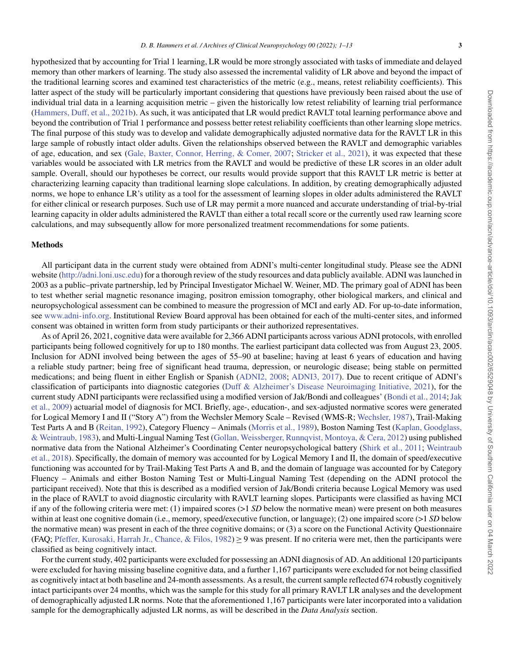Downloaded from https://academic.oup.com/acn/advance-article/doi/10.1093/arclin/acac002/6529048 by University of Southern California user on 04 March 2022 Downloaded from https://academic.oup.com/acn/advance-article/doi/10.1093/arclin/acac002/6529048 by University of Southern California user on 04 March 2022

hypothesized that by accounting for Trial 1 learning, LR would be more strongly associated with tasks of immediate and delayed memory than other markers of learning. The study also assessed the incremental validity of LR above and beyond the impact of the traditional learning scores and examined test characteristics of the metric (e.g., means, retest reliability coefficients). This latter aspect of the study will be particularly important considering that questions have previously been raised about the use of individual trial data in a learning acquisition metric – given the historically low retest reliability of learning trial performance [\(Hammers, Duff, et al., 2021b\)](#page-11-10). As such, it was anticipated that LR would predict RAVLT total learning performance above and beyond the contribution of Trial 1 performance and possess better retest reliability coefficients than other learning slope metrics. The final purpose of this study was to develop and validate demographically adjusted normative data for the RAVLT LR in this large sample of robustly intact older adults. Given the relationships observed between the RAVLT and demographic variables of age, education, and sex [\(Gale, Baxter, Connor, Herring, & Comer, 2007](#page-11-13); [Stricker et al., 2021](#page-12-4)), it was expected that these variables would be associated with LR metrics from the RAVLT and would be predictive of these LR scores in an older adult sample. Overall, should our hypotheses be correct, our results would provide support that this RAVLT LR metric is better at characterizing learning capacity than traditional learning slope calculations. In addition, by creating demographically adjusted norms, we hope to enhance LR's utility as a tool for the assessment of learning slopes in older adults administered the RAVLT for either clinical or research purposes. Such use of LR may permit a more nuanced and accurate understanding of trial-by-trial learning capacity in older adults administered the RAVLT than either a total recall score or the currently used raw learning score calculations, and may subsequently allow for more personalized treatment recommendations for some patients.

#### **Methods**

All participant data in the current study were obtained from ADNI's multi-center longitudinal study. Please see the ADNI website [\(http://adni.loni.usc.edu\)](http://adni.loni.usc.edu) for a thorough review of the study resources and data publicly available. ADNI was launched in 2003 as a public–private partnership, led by Principal Investigator Michael W. Weiner, MD. The primary goal of ADNI has been to test whether serial magnetic resonance imaging, positron emission tomography, other biological markers, and clinical and neuropsychological assessment can be combined to measure the progression of MCI and early AD. For up-to-date information, see [www.adni-info.org.](www.adni-info.org) Institutional Review Board approval has been obtained for each of the multi-center sites, and informed consent was obtained in written form from study participants or their authorized representatives.

As of April 26, 2021, cognitive data were available for 2,366 ADNI participants across various ADNI protocols, with enrolled participants being followed cognitively for up to 180 months. The earliest participant data collected was from August 23, 2005. Inclusion for ADNI involved being between the ages of 55–90 at baseline; having at least 6 years of education and having a reliable study partner; being free of significant head trauma, depression, or neurologic disease; being stable on permitted medications; and being fluent in either English or Spanish [\(ADNI2, 2008](#page-10-6); [ADNI3, 2017](#page-10-7)). Due to recent critique of ADNI's classification of participants into diagnostic categories ([Duff & Alzheimer's Disease Neuroimaging Initiative, 2021](#page-11-14)), for the current study ADNI participants were reclassified using a modified version of Jak/Bondi and colleagues' ([Bondi et al., 2014;](#page-10-8) [Jak](#page-11-15) et al., 2009) actuarial model of diagnosis for MCI. Briefly, age-, education-, and sex-adjusted normative scores were generated for Logical Memory I and II ("Story A") from the Wechsler Memory Scale – Revised (WMS-R; [Wechsler, 1987\)](#page-12-5), Trail-Making Test Parts A and B [\(Reitan, 1992\)](#page-11-16), Category Fluency – Animals ([Morris et al., 1989\)](#page-11-17), Boston Naming Test ([Kaplan, Goodglass,](#page-11-18) & Weintraub, 1983), and Multi-Lingual Naming Test [\(Gollan, Weissberger, Runnqvist, Montoya, & Cera, 2012\)](#page-11-19) using published normative data from the National Alzheimer's Coordinating Center neuropsychological battery [\(Shirk et al., 2011](#page-12-6); [Weintraub](#page-12-7) et al., 2018). Specifically, the domain of memory was accounted for by Logical Memory I and II, the domain of speed/executive functioning was accounted for by Trail-Making Test Parts A and B, and the domain of language was accounted for by Category Fluency – Animals and either Boston Naming Test or Multi-Lingual Naming Test (depending on the ADNI protocol the participant received). Note that this is described as a modified version of Jak/Bondi criteria because Logical Memory was used in the place of RAVLT to avoid diagnostic circularity with RAVLT learning slopes. Participants were classified as having MCI if any of the following criteria were met: (1) impaired scores (>1 *SD* below the normative mean) were present on both measures within at least one cognitive domain (i.e., memory, speed/executive function, or language); (2) one impaired score (>1 *SD* below the normative mean) was present in each of the three cognitive domains; or (3) a score on the Functional Activity Questionnaire (FAQ; [Pfeffer, Kurosaki, Harrah Jr., Chance, & Filos, 1982](#page-11-20))  $\geq$  9 was present. If no criteria were met, then the participants were classified as being cognitively intact.

For the current study, 402 participants were excluded for possessing an ADNI diagnosis of AD. An additional 120 participants were excluded for having missing baseline cognitive data, and a further 1,167 participants were excluded for not being classified as cognitively intact at both baseline and 24-month assessments. As a result, the current sample reflected 674 robustly cognitively intact participants over 24 months, which was the sample for this study for all primary RAVLT LR analyses and the development of demographically adjusted LR norms. Note that the aforementioned 1,167 participants were later incorporated into a validation sample for the demographically adjusted LR norms, as will be described in the *Data Analysis* section.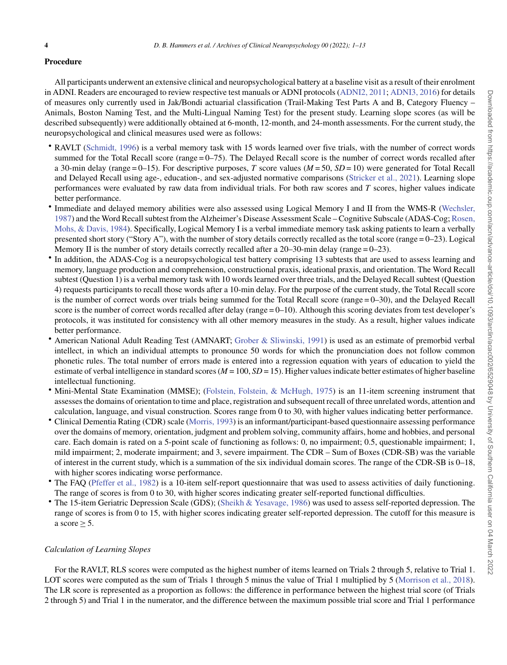## **Procedure**

All participants underwent an extensive clinical and neuropsychological battery at a baseline visit as a result of their enrolment in ADNI. Readers are encouraged to review respective test manuals or ADNI protocols ([ADNI2, 2011;](#page-10-9) [ADNI3, 2016\)](#page-10-10) for details of measures only currently used in Jak/Bondi actuarial classification (Trail-Making Test Parts A and B, Category Fluency – Animals, Boston Naming Test, and the Multi-Lingual Naming Test) for the present study. Learning slope scores (as will be described subsequently) were additionally obtained at 6-month, 12-month, and 24-month assessments. For the current study, the neuropsychological and clinical measures used were as follows:

- RAVLT [\(Schmidt, 1996](#page-11-3)) is a verbal memory task with 15 words learned over five trials, with the number of correct words summed for the Total Recall score (range = 0–75). The Delayed Recall score is the number of correct words recalled after a 30-min delay (range = 0–15). For descriptive purposes, *T* score values (*M* = 50, *SD* = 10) were generated for Total Recall and Delayed Recall using age-, education-, and sex-adjusted normative comparisons [\(Stricker et al., 2021](#page-12-4)). Learning slope performances were evaluated by raw data from individual trials. For both raw scores and *T* scores, higher values indicate better performance.
- Immediate and delayed memory abilities were also assessed using Logical Memory I and II from the WMS-R [\(Wechsler,](#page-12-5) 1987) and the Word Recall subtest from the Alzheimer's Disease Assessment Scale – Cognitive Subscale (ADAS-Cog; [Rosen,](#page-11-21) Mohs, & Davis, 1984). Specifically, Logical Memory I is a verbal immediate memory task asking patients to learn a verbally presented short story ("Story A"), with the number of story details correctly recalled as the total score (range = 0–23). Logical Memory II is the number of story details correctly recalled after a 20–30-min delay (range = 0–23).
- In addition, the ADAS-Cog is a neuropsychological test battery comprising 13 subtests that are used to assess learning and memory, language production and comprehension, constructional praxis, ideational praxis, and orientation. The Word Recall subtest (Question 1) is a verbal memory task with 10 words learned over three trials, and the Delayed Recall subtest (Question 4) requests participants to recall those words after a 10-min delay. For the purpose of the current study, the Total Recall score is the number of correct words over trials being summed for the Total Recall score (range = 0–30), and the Delayed Recall score is the number of correct words recalled after delay (range = 0–10). Although this scoring deviates from test developer's protocols, it was instituted for consistency with all other memory measures in the study. As a result, higher values indicate better performance.
- American National Adult Reading Test (AMNART; [Grober & Sliwinski, 1991](#page-11-22)) is used as an estimate of premorbid verbal intellect, in which an individual attempts to pronounce 50 words for which the pronunciation does not follow common phonetic rules. The total number of errors made is entered into a regression equation with years of education to yield the estimate of verbal intelligence in standard scores ( $M = 100$ ,  $SD = 15$ ). Higher values indicate better estimates of higher baseline intellectual functioning.
- Mini-Mental State Examination (MMSE); [\(Folstein, Folstein, & McHugh, 1975](#page-11-23)) is an 11-item screening instrument that assesses the domains of orientation to time and place, registration and subsequent recall of three unrelated words, attention and calculation, language, and visual construction. Scores range from 0 to 30, with higher values indicating better performance.
- Clinical Dementia Rating (CDR) scale [\(Morris, 1993\)](#page-11-24) is an informant/participant-based questionnaire assessing performance over the domains of memory, orientation, judgment and problem solving, community affairs, home and hobbies, and personal care. Each domain is rated on a 5-point scale of functioning as follows: 0, no impairment; 0.5, questionable impairment; 1, mild impairment; 2, moderate impairment; and 3, severe impairment. The CDR – Sum of Boxes (CDR-SB) was the variable of interest in the current study, which is a summation of the six individual domain scores. The range of the CDR-SB is 0–18, with higher scores indicating worse performance.
- The FAQ [\(Pfeffer et al., 1982](#page-11-20)) is a 10-item self-report questionnaire that was used to assess activities of daily functioning. The range of scores is from 0 to 30, with higher scores indicating greater self-reported functional difficulties.
- The 15-item Geriatric Depression Scale (GDS); [\(Sheikh & Yesavage, 1986\)](#page-11-25) was used to assess self-reported depression. The range of scores is from 0 to 15, with higher scores indicating greater self-reported depression. The cutoff for this measure is a score  $\geq$  5.

## *Calculation of Learning Slopes*

For the RAVLT, RLS scores were computed as the highest number of items learned on Trials 2 through 5, relative to Trial 1. LOT scores were computed as the sum of Trials 1 through 5 minus the value of Trial 1 multiplied by 5 [\(Morrison et al., 2018](#page-11-4)). The LR score is represented as a proportion as follows: the difference in performance between the highest trial score (of Trials 2 through 5) and Trial 1 in the numerator, and the difference between the maximum possible trial score and Trial 1 performance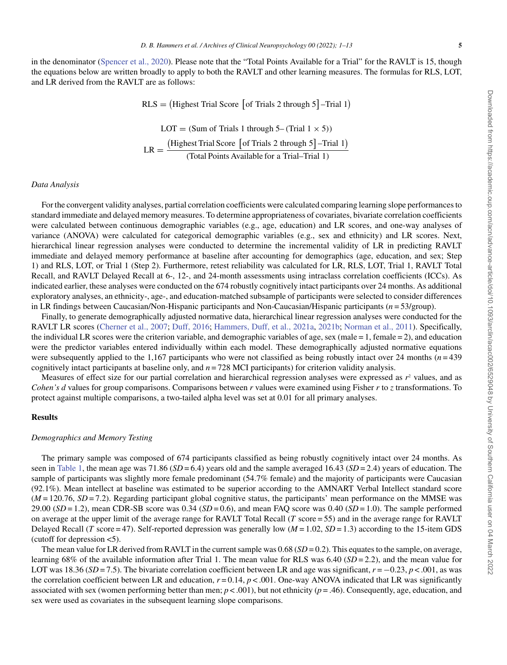in the denominator [\(Spencer et al., 2020](#page-12-2)). Please note that the "Total Points Available for a Trial" for the RAVLT is 15, though the equations below are written broadly to apply to both the RAVLT and other learning measures. The formulas for RLS, LOT, and LR derived from the RAVLT are as follows:

> $RLS = (Highest Trial Score [of Trials 2 through 5] – Trial 1)$  $LOT = (Sum of Trials 1 through 5 - (Trial 1 \times 5))$  $LR =$ (Highest Trial Score [of Trials 2 through 5] -Trial 1) *(*Total Points Available for a Trial–Trial 1*)*

# *Data Analysis*

For the convergent validity analyses, partial correlation coefficients were calculated comparing learning slope performances to standard immediate and delayed memory measures. To determine appropriateness of covariates, bivariate correlation coefficients were calculated between continuous demographic variables (e.g., age, education) and LR scores, and one-way analyses of variance (ANOVA) were calculated for categorical demographic variables (e.g., sex and ethnicity) and LR scores. Next, hierarchical linear regression analyses were conducted to determine the incremental validity of LR in predicting RAVLT immediate and delayed memory performance at baseline after accounting for demographics (age, education, and sex; Step 1) and RLS, LOT, or Trial 1 (Step 2). Furthermore, retest reliability was calculated for LR, RLS, LOT, Trial 1, RAVLT Total Recall, and RAVLT Delayed Recall at 6-, 12-, and 24-month assessments using intraclass correlation coefficients (ICCs). As indicated earlier, these analyses were conducted on the 674 robustly cognitively intact participants over 24 months. As additional exploratory analyses, an ethnicity-, age-, and education-matched subsample of participants were selected to consider differences in LR findings between Caucasian/Non-Hispanic participants and Non-Caucasian/Hispanic participants (*n* = 53/group).

Finally, to generate demographically adjusted normative data, hierarchical linear regression analyses were conducted for the RAVLT LR scores [\(Cherner et al., 2007](#page-10-11); [Duff, 2016](#page-11-26); [Hammers, Duff, et al., 2021a](#page-11-9), [2021b](#page-11-10); [Norman et al., 2011](#page-11-27)). Specifically, the individual LR scores were the criterion variable, and demographic variables of age, sex (male = 1, female = 2), and education were the predictor variables entered individually within each model. These demographically adjusted normative equations were subsequently applied to the 1,167 participants who were not classified as being robustly intact over 24 months  $(n=439)$ cognitively intact participants at baseline only, and *n* = 728 MCI participants) for criterion validity analysis.

Measures of effect size for our partial correlation and hierarchical regression analyses were expressed as  $r<sup>2</sup>$  values, and as *Cohen's d* values for group comparisons. Comparisons between *r* values were examined using Fisher *r* to *z* transformations. To protect against multiple comparisons, a two-tailed alpha level was set at 0.01 for all primary analyses.

# **Results**

#### *Demographics and Memory Testing*

The primary sample was composed of 674 participants classified as being robustly cognitively intact over 24 months. As seen in [Table 1,](#page-5-0) the mean age was 71.86 (*SD* = 6.4) years old and the sample averaged 16.43 (*SD* = 2.4) years of education. The sample of participants was slightly more female predominant (54.7% female) and the majority of participants were Caucasian (92.1%). Mean intellect at baseline was estimated to be superior according to the AMNART Verbal Intellect standard score (*M* = 120.76, *SD* = 7.2). Regarding participant global cognitive status, the participants' mean performance on the MMSE was 29.00  $(SD = 1.2)$ , mean CDR-SB score was 0.34  $(SD = 0.6)$ , and mean FAQ score was 0.40  $(SD = 1.0)$ . The sample performed on average at the upper limit of the average range for RAVLT Total Recall (*T* score = 55) and in the average range for RAVLT Delayed Recall (*T* score = 47). Self-reported depression was generally low ( $M = 1.02$ ,  $SD = 1.3$ ) according to the 15-item GDS (cutoff for depression  $\leq 5$ ).

The mean value for LR derived from RAVLT in the current sample was 0.68 (*SD* = 0.2). This equates to the sample, on average, learning 68% of the available information after Trial 1. The mean value for RLS was 6.40 (*SD* = 2.2), and the mean value for LOT was 18.36 (*SD* = 7.5). The bivariate correlation coefficient between LR and age was significant, *r* = −0.23, *p* < .001, as was the correlation coefficient between LR and education,  $r = 0.14$ ,  $p < .001$ . One-way ANOVA indicated that LR was significantly associated with sex (women performing better than men;  $p < .001$ ), but not ethnicity ( $p = .46$ ). Consequently, age, education, and sex were used as covariates in the subsequent learning slope comparisons.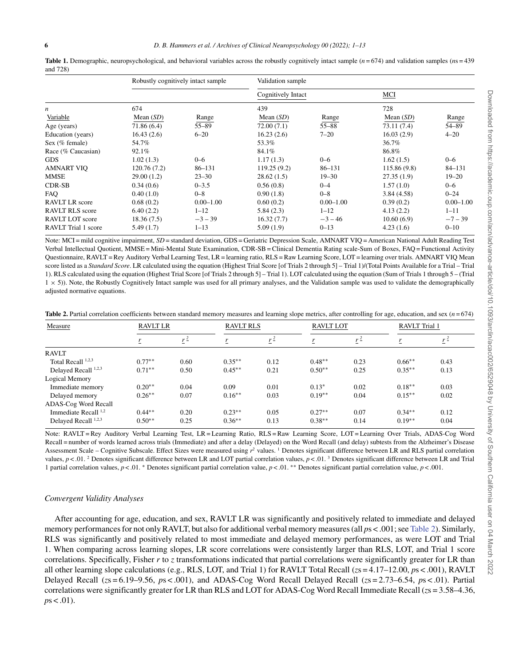|                            | Robustly cognitively intact sample |               | Validation sample  |               |              |               |  |
|----------------------------|------------------------------------|---------------|--------------------|---------------|--------------|---------------|--|
|                            |                                    |               | Cognitively Intact |               | MCI          |               |  |
| n                          | 674                                |               | 439                |               | 728          |               |  |
| Variable                   | Mean $(SD)$                        | Range         | Mean $(SD)$        | Range         | Mean $(SD)$  | Range         |  |
| Age (years)                | 71.86 (6.4)                        | $55 - 89$     | 72.00(7.1)         | $55 - 88$     | 73.11 (7.4)  | 54-89         |  |
| Education (years)          | 16.43(2.6)                         | $6 - 20$      | 16.23(2.6)         | $7 - 20$      | 16.03(2.9)   | $4 - 20$      |  |
| Sex (% female)             | 54.7%                              |               | 53.3%              |               | 36.7%        |               |  |
| Race (% Caucasian)         | 92.1%                              |               | 84.1%              |               | 86.8%        |               |  |
| <b>GDS</b>                 | 1.02(1.3)                          | $0 - 6$       | 1.17(1.3)          | $0 - 6$       | 1.62(1.5)    | $0 - 6$       |  |
| AMNART VIO                 | 120.76 (7.2)                       | $86 - 131$    | 119.25(9.2)        | $86 - 131$    | 115.86 (9.8) | $84 - 131$    |  |
| MMSE                       | 29.00(1.2)                         | $23 - 30$     | 28.62(1.5)         | $19 - 30$     | 27.35(1.9)   | $19 - 20$     |  |
| CDR-SB                     | 0.34(0.6)                          | $0 - 3.5$     | 0.56(0.8)          | $0 - 4$       | 1.57(1.0)    | $0 - 6$       |  |
| FAO                        | 0.40(1.0)                          | $0 - 8$       | 0.90(1.8)          | $0 - 8$       | 3.84(4.58)   | $0 - 24$      |  |
| RAVLT LR score             | 0.68(0.2)                          | $0.00 - 1.00$ | 0.60(0.2)          | $0.00 - 1.00$ | 0.39(0.2)    | $0.00 - 1.00$ |  |
| <b>RAVLT RLS</b> score     | 6.40(2.2)                          | $1 - 12$      | 5.84(2.3)          | $1 - 12$      | 4.13(2.2)    | $1 - 11$      |  |
| RAVLT LOT score            | 18.36 (7.5)                        | $-3 - 39$     | 16.32(7.7)         | $-3 - 46$     | 10.60(6.9)   | $-7 - 39$     |  |
| <b>RAVLT</b> Trial 1 score | 5.49(1.7)                          | $1 - 13$      | 5.09 (1.9)         | $0 - 13$      | 4.23(1.6)    | $0 - 10$      |  |

<span id="page-5-0"></span>**Table 1.** Demographic, neuropsychological, and behavioral variables across the robustly cognitively intact sample  $(n = 674)$  and validation samples  $(n = 439)$ and 728)

Note: MCI = mild cognitive impairment, *SD* = standard deviation, GDS = Geriatric Depression Scale, AMNART VIQ = American National Adult Reading Test Verbal Intellectual Quotient, MMSE = Mini-Mental State Examination, CDR-SB = Clinical Dementia Rating scale-Sum of Boxes, FAQ = Functional Activity Questionnaire, RAVLT = Rey Auditory Verbal Learning Test, LR = learning ratio, RLS = Raw Learning Score, LOT = learning over trials. AMNART VIQ Mean score listed as a *Standard Score*. LR calculated using the equation (Highest Trial Score [of Trials 2 through 5] – Trial 1)/(Total Points Available for a Trial – Trial 1). RLS calculated using the equation (Highest Trial Score [of Trials 2 through 5] – Trial 1). LOT calculated using the equation (Sum of Trials 1 through 5 – (Trial 1 × 5)). Note, the Robustly Cognitively Intact sample was used for all primary analyses, and the Validation sample was used to validate the demographically adjusted normative equations.

<span id="page-5-1"></span>

| Table 2. Partial correlation coefficients between standard memory measures and learning slope metrics, after controlling for age, education, and sex $(n=674)$ |  |  |  |
|----------------------------------------------------------------------------------------------------------------------------------------------------------------|--|--|--|
|----------------------------------------------------------------------------------------------------------------------------------------------------------------|--|--|--|

| Measure                |           | <b>RAVLT LR</b> |           | <b>RAVLT RLS</b> |          | <b>RAVLT LOT</b> |           | <b>RAVLT</b> Trial 1 |  |
|------------------------|-----------|-----------------|-----------|------------------|----------|------------------|-----------|----------------------|--|
|                        | ŗ         | $r^2$           |           | $r^2$            | r        | $r^2$            |           | $r^2$                |  |
| <b>RAVLT</b>           |           |                 |           |                  |          |                  |           |                      |  |
| Total Recall 1,2,3     | $0.77**$  | 0.60            | $0.35***$ | 0.12             | $0.48**$ | 0.23             | $0.66**$  | 0.43                 |  |
| Delayed Recall 1,2,3   | $0.71***$ | 0.50            | $0.45***$ | 0.21             | $0.50**$ | 0.25             | $0.35***$ | 0.13                 |  |
| Logical Memory         |           |                 |           |                  |          |                  |           |                      |  |
| Immediate memory       | $0.20**$  | 0.04            | 0.09      | 0.01             | $0.13*$  | 0.02             | $0.18***$ | 0.03                 |  |
| Delayed memory         | $0.26**$  | 0.07            | $0.16**$  | 0.03             | $0.19**$ | 0.04             | $0.15**$  | 0.02                 |  |
| ADAS-Cog Word Recall   |           |                 |           |                  |          |                  |           |                      |  |
| Immediate Recall $1,2$ | $0.44***$ | 0.20            | $0.23**$  | 0.05             | $0.27**$ | 0.07             | $0.34**$  | 0.12                 |  |
| Delayed Recall 1,2,3   | $0.50**$  | 0.25            | $0.36**$  | 0.13             | $0.38**$ | 0.14             | $0.19**$  | 0.04                 |  |

Note: RAVLT = Rey Auditory Verbal Learning Test, LR = Learning Ratio, RLS = Raw Learning Score, LOT = Learning Over Trials, ADAS-Cog Word Recall = number of words learned across trials (Immediate) and after a delay (Delayed) on the Word Recall (and delay) subtests from the Alzheimer's Disease Assessment Scale – Cognitive Subscale. Effect Sizes were measured using  $r^2$  values. <sup>1</sup> Denotes significant difference between LR and RLS partial correlation values,  $p < 0.01$ . <sup>2</sup> Denotes significant difference between LR and LOT partial correlation values,  $p < 0.01$ . <sup>3</sup> Denotes significant difference between LR and Trial 1 partial correlation values, *p* < .01. ∗ Denotes significant partial correlation value, *p* < .01. ∗∗ Denotes significant partial correlation value, *p* < .001.

# *Convergent Validity Analyses*

After accounting for age, education, and sex, RAVLT LR was significantly and positively related to immediate and delayed memory performances for not only RAVLT, but also for additional verbal memory measures (all *p*s < .001; see [Table 2\)](#page-5-1). Similarly, RLS was significantly and positively related to most immediate and delayed memory performances, as were LOT and Trial 1. When comparing across learning slopes, LR score correlations were consistently larger than RLS, LOT, and Trial 1 score correlations. Specifically, Fisher *r* to *z* transformations indicated that partial correlations were significantly greater for LR than all other learning slope calculations (e.g., RLS, LOT, and Trial 1) for RAVLT Total Recall (*z*s = 4.17–12.00, *p*s < .001), RAVLT Delayed Recall (*z*s = 6.19–9.56, *p*s < .001), and ADAS-Cog Word Recall Delayed Recall (*z*s = 2.73–6.54, *p*s < .01). Partial correlations were significantly greater for LR than RLS and LOT for ADAS-Cog Word Recall Immediate Recall (*z*s = 3.58–4.36, *).*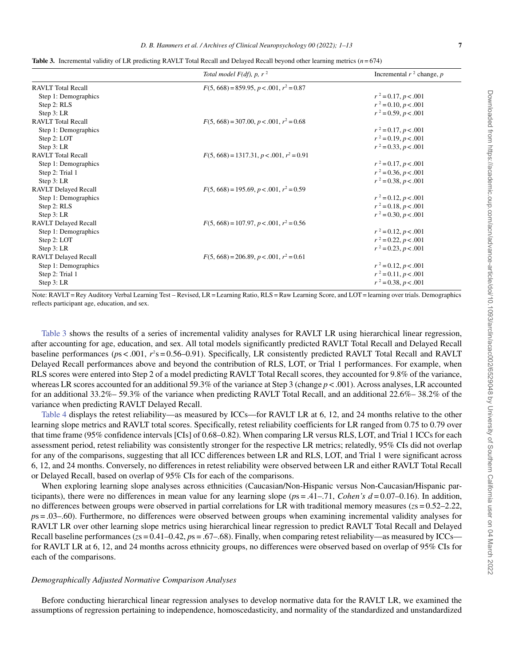<span id="page-6-0"></span>

|  |  | <b>Table 3.</b> Incremental validity of LR predicting RAVLT Total Recall and Delayed Recall beyond other learning metrics $(n=674)$ |  |  |
|--|--|-------------------------------------------------------------------------------------------------------------------------------------|--|--|
|--|--|-------------------------------------------------------------------------------------------------------------------------------------|--|--|

|                             | Total model $F(df)$ , p, r <sup>2</sup>     | Incremental $r^2$ change, p |
|-----------------------------|---------------------------------------------|-----------------------------|
| <b>RAVLT</b> Total Recall   | $F(5, 668) = 859.95, p < .001, r^2 = 0.87$  |                             |
| Step 1: Demographics        |                                             | $r^2 = 0.17, p < .001$      |
| Step 2: RLS                 |                                             | $r^2 = 0.10, p < .001$      |
| Step $3:LR$                 |                                             | $r^2 = 0.59, p < .001$      |
| <b>RAVLT</b> Total Recall   | $F(5, 668) = 307.00, p < .001, r^2 = 0.68$  |                             |
| Step 1: Demographics        |                                             | $r^2 = 0.17, p < .001$      |
| Step 2: LOT                 |                                             | $r^2 = 0.19, p < .001$      |
| Step 3: LR                  |                                             | $r^2 = 0.33, p < .001$      |
| <b>RAVLT</b> Total Recall   | $F(5, 668) = 1317.31, p < .001, r^2 = 0.91$ |                             |
| Step 1: Demographics        |                                             | $r^2 = 0.17, p < .001$      |
| Step 2: Trial 1             |                                             | $r^2 = 0.36, p < .001$      |
| Step $3:LR$                 |                                             | $r^2 = 0.38, p < .001$      |
| <b>RAVLT Delayed Recall</b> | $F(5, 668) = 195.69, p < .001, r^2 = 0.59$  |                             |
| Step 1: Demographics        |                                             | $r^2 = 0.12, p < .001$      |
| Step 2: RLS                 |                                             | $r^2 = 0.18, p < .001$      |
| Step $3:LR$                 |                                             | $r^2 = 0.30, p < .001$      |
| <b>RAVLT Delayed Recall</b> | $F(5, 668) = 107.97, p < .001, r^2 = 0.56$  |                             |
| Step 1: Demographics        |                                             | $r^2 = 0.12, p < .001$      |
| Step 2: LOT                 |                                             | $r^2 = 0.22, p < .001$      |
| Step $3:LR$                 |                                             | $r^2 = 0.23, p < .001$      |
| <b>RAVLT Delayed Recall</b> | $F(5, 668) = 206.89, p < .001, r^2 = 0.61$  |                             |
| Step 1: Demographics        |                                             | $r^2 = 0.12, p < .001$      |
| Step 2: Trial 1             |                                             | $r^2 = 0.11, p < .001$      |
| Step $3:LR$                 |                                             | $r^2 = 0.38, p < .001$      |

Note: RAVLT = Rey Auditory Verbal Learning Test – Revised, LR = Learning Ratio, RLS = Raw Learning Score, and LOT = learning over trials. Demographics reflects participant age, education, and sex.

[Table 3](#page-6-0) shows the results of a series of incremental validity analyses for RAVLT LR using hierarchical linear regression, after accounting for age, education, and sex. All total models significantly predicted RAVLT Total Recall and Delayed Recall baseline performances ( $ps < .001$ ,  $r^2s = 0.56-0.91$ ). Specifically, LR consistently predicted RAVLT Total Recall and RAVLT Delayed Recall performances above and beyond the contribution of RLS, LOT, or Trial 1 performances. For example, when RLS scores were entered into Step 2 of a model predicting RAVLT Total Recall scores, they accounted for 9.8% of the variance, whereas LR scores accounted for an additional 59.3% of the variance at Step 3 (change  $p < .001$ ). Across analyses, LR accounted for an additional 33.2%– 59.3% of the variance when predicting RAVLT Total Recall, and an additional 22.6%– 38.2% of the variance when predicting RAVLT Delayed Recall.

[Table 4](#page-7-0) displays the retest reliability—as measured by ICCs—for RAVLT LR at 6, 12, and 24 months relative to the other learning slope metrics and RAVLT total scores. Specifically, retest reliability coefficients for LR ranged from 0.75 to 0.79 over that time frame (95% confidence intervals [CIs] of 0.68–0.82). When comparing LR versus RLS, LOT, and Trial 1 ICCs for each assessment period, retest reliability was consistently stronger for the respective LR metrics; relatedly, 95% CIs did not overlap for any of the comparisons, suggesting that all ICC differences between LR and RLS, LOT, and Trial 1 were significant across 6, 12, and 24 months. Conversely, no differences in retest reliability were observed between LR and either RAVLT Total Recall or Delayed Recall, based on overlap of 95% CIs for each of the comparisons.

When exploring learning slope analyses across ethnicities (Caucasian/Non-Hispanic versus Non-Caucasian/Hispanic participants), there were no differences in mean value for any learning slope (*p*s = .41–.71, *Cohen's d* = 0.07–0.16). In addition, no differences between groups were observed in partial correlations for LR with traditional memory measures (*z*s = 0.52–2.22, *p*s = .03–.60). Furthermore, no differences were observed between groups when examining incremental validity analyses for RAVLT LR over other learning slope metrics using hierarchical linear regression to predict RAVLT Total Recall and Delayed Recall baseline performances ( $z = 0.41 - 0.42$ ,  $p = 0.67 - 0.68$ ). Finally, when comparing retest reliability—as measured by ICCs for RAVLT LR at 6, 12, and 24 months across ethnicity groups, no differences were observed based on overlap of 95% CIs for each of the comparisons.

## *Demographically Adjusted Normative Comparison Analyses*

Before conducting hierarchical linear regression analyses to develop normative data for the RAVLT LR, we examined the assumptions of regression pertaining to independence, homoscedasticity, and normality of the standardized and unstandardized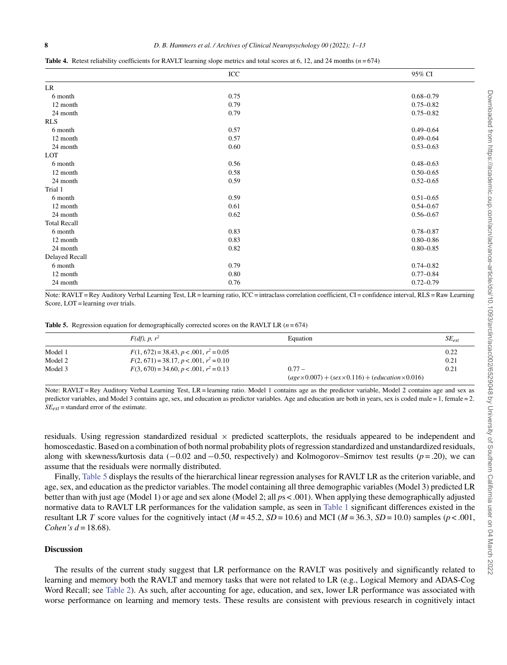<span id="page-7-0"></span>

|  | <b>Table 4.</b> Retest reliability coefficients for RAVLT learning slope metrics and total scores at 6, 12, and 24 months $(n=674)$ |  |  |
|--|-------------------------------------------------------------------------------------------------------------------------------------|--|--|
|  |                                                                                                                                     |  |  |

|                     | ICC  | 95% CI        |
|---------------------|------|---------------|
| <b>LR</b>           |      |               |
| 6 month             | 0.75 | $0.68 - 0.79$ |
| 12 month            | 0.79 | $0.75 - 0.82$ |
| 24 month            | 0.79 | $0.75 - 0.82$ |
| <b>RLS</b>          |      |               |
| 6 month             | 0.57 | $0.49 - 0.64$ |
| 12 month            | 0.57 | $0.49 - 0.64$ |
| 24 month            | 0.60 | $0.53 - 0.63$ |
| LOT                 |      |               |
| 6 month             | 0.56 | $0.48 - 0.63$ |
| 12 month            | 0.58 | $0.50 - 0.65$ |
| 24 month            | 0.59 | $0.52 - 0.65$ |
| Trial 1             |      |               |
| 6 month             | 0.59 | $0.51 - 0.65$ |
| 12 month            | 0.61 | $0.54 - 0.67$ |
| 24 month            | 0.62 | $0.56 - 0.67$ |
| <b>Total Recall</b> |      |               |
| 6 month             | 0.83 | $0.78 - 0.87$ |
| 12 month            | 0.83 | $0.80 - 0.86$ |
| 24 month            | 0.82 | $0.80 - 0.85$ |
| Delayed Recall      |      |               |
| 6 month             | 0.79 | $0.74 - 0.82$ |
| 12 month            | 0.80 | $0.77 - 0.84$ |
| 24 month            | 0.76 | $0.72 - 0.79$ |
|                     |      |               |

Note: RAVLT = Rey Auditory Verbal Learning Test, LR = learning ratio, ICC = intraclass correlation coefficient, CI = confidence interval, RLS = Raw Learning Score, LOT = learning over trials.

<span id="page-7-1"></span>**Table 5.** Regression equation for demographically corrected scores on the RAVLT LR  $(n=674)$ 

|         | $F(df)$ , p, $r^2$                        | Equation                                                             | $SE_{est}$ |
|---------|-------------------------------------------|----------------------------------------------------------------------|------------|
| Model 1 | $F(1, 672) = 38.43, p < .001, r^2 = 0.05$ |                                                                      | 0.22       |
| Model 2 | $F(2, 671) = 38.17, p < .001, r^2 = 0.10$ |                                                                      | 0.21       |
| Model 3 | $F(3, 670) = 34.60, p < .001, r^2 = 0.13$ | $0.77 -$                                                             | 0.21       |
|         |                                           | $(age \times 0.007) + (sex \times 0.116) + (education \times 0.016)$ |            |

Note: RAVLT = Rey Auditory Verbal Learning Test, LR = learning ratio. Model 1 contains age as the predictor variable, Model 2 contains age and sex as predictor variables, and Model 3 contains age, sex, and education as predictor variables. Age and education are both in years, sex is coded male = 1, female = 2.  $SE_{est}$  = standard error of the estimate.

residuals. Using regression standardized residual  $\times$  predicted scatterplots, the residuals appeared to be independent and homoscedastic. Based on a combination of both normal probability plots of regression standardized and unstandardized residuals, along with skewness/kurtosis data (−0.02 and −0.50, respectively) and Kolmogorov–Smirnov test results (*p* = .20), we can assume that the residuals were normally distributed.

Finally, [Table 5](#page-7-1) displays the results of the hierarchical linear regression analyses for RAVLT LR as the criterion variable, and age, sex, and education as the predictor variables. The model containing all three demographic variables (Model 3) predicted LR better than with just age (Model 1) or age and sex alone (Model 2; all *p*s < .001). When applying these demographically adjusted normative data to RAVLT LR performances for the validation sample, as seen in [Table 1](#page-5-0) significant differences existed in the resultant LR *T* score values for the cognitively intact ( $M = 45.2$ ,  $SD = 10.6$ ) and MCI ( $M = 36.3$ ,  $SD = 10.0$ ) samples ( $p < .001$ , *Cohen's d* = 18.68).

#### **Discussion**

The results of the current study suggest that LR performance on the RAVLT was positively and significantly related to learning and memory both the RAVLT and memory tasks that were not related to LR (e.g., Logical Memory and ADAS-Cog Word Recall; see [Table 2\)](#page-5-1). As such, after accounting for age, education, and sex, lower LR performance was associated with worse performance on learning and memory tests. These results are consistent with previous research in cognitively intact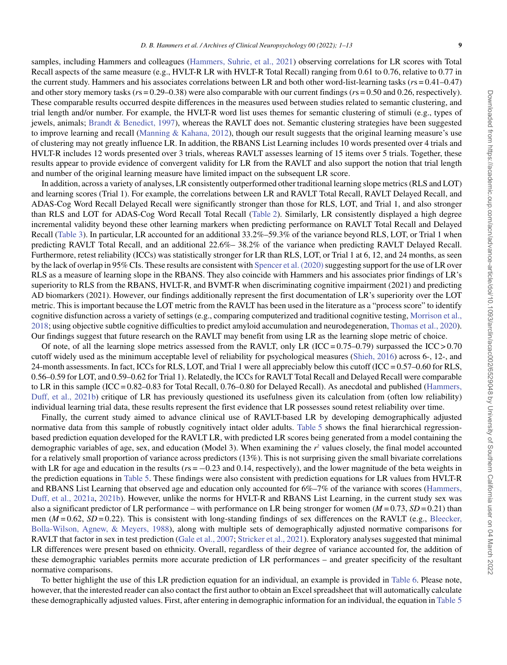samples, including Hammers and colleagues [\(Hammers, Suhrie, et al., 2021](#page-11-8)) observing correlations for LR scores with Total Recall aspects of the same measure (e.g., HVLT-R LR with HVLT-R Total Recall) ranging from 0.61 to 0.76, relative to 0.77 in the current study. Hammers and his associates correlations between LR and both other word-list-learning tasks (*r*s = 0.41–0.47) and other story memory tasks (*r*s = 0.29–0.38) were also comparable with our current findings (*r*s = 0.50 and 0.26, respectively). These comparable results occurred despite differences in the measures used between studies related to semantic clustering, and trial length and/or number. For example, the HVLT-R word list uses themes for semantic clustering of stimuli (e.g., types of jewels, animals; [Brandt & Benedict, 1997](#page-10-3)), whereas the RAVLT does not. Semantic clustering strategies have been suggested to improve learning and recall ([Manning & Kahana, 2012](#page-11-28)), though our result suggests that the original learning measure's use of clustering may not greatly influence LR. In addition, the RBANS List Learning includes 10 words presented over 4 trials and HVLT-R includes 12 words presented over 3 trials, whereas RAVLT assesses learning of 15 items over 5 trials. Together, these results appear to provide evidence of convergent validity for LR from the RAVLT and also support the notion that trial length and number of the original learning measure have limited impact on the subsequent LR score.

In addition, across a variety of analyses, LR consistently outperformed other traditional learning slope metrics (RLS and LOT) and learning scores (Trial 1). For example, the correlations between LR and RAVLT Total Recall, RAVLT Delayed Recall, and ADAS-Cog Word Recall Delayed Recall were significantly stronger than those for RLS, LOT, and Trial 1, and also stronger than RLS and LOT for ADAS-Cog Word Recall Total Recall [\(Table 2\)](#page-5-1). Similarly, LR consistently displayed a high degree incremental validity beyond these other learning markers when predicting performance on RAVLT Total Recall and Delayed Recall [\(Table 3](#page-6-0)). In particular, LR accounted for an additional 33.2%–59.3% of the variance beyond RLS, LOT, or Trial 1 when predicting RAVLT Total Recall, and an additional 22.6%– 38.2% of the variance when predicting RAVLT Delayed Recall. Furthermore, retest reliability (ICCs) was statistically stronger for LR than RLS, LOT, or Trial 1 at 6, 12, and 24 months, as seen by the lack of overlap in 95% CIs. These results are consistent with Spencer et al. (2020) suggesting support for the use of LR over RLS as a measure of learning slope in the RBANS. They also coincide with Hammers and his associates prior findings of LR's superiority to RLS from the RBANS, HVLT-R, and BVMT-R when discriminating cognitive impairment (2021) and predicting AD biomarkers (2021). However, our findings additionally represent the first documentation of LR's superiority over the LOT metric. This is important because the LOT metric from the RAVLT has been used in the literature as a "process score" to identify cognitive disfunction across a variety of settings (e.g., comparing computerized and traditional cognitive testing, [Morrison et al.,](#page-11-4) 2018; using objective subtle cognitive difficulties to predict amyloid accumulation and neurodegeneration, [Thomas et al., 2020\)](#page-12-1). Our findings suggest that future research on the RAVLT may benefit from using LR as the learning slope metric of choice.

Of note, of all the learning slope metrics assessed from the RAVLT, only LR (ICC =  $0.75-0.79$ ) surpassed the ICC >  $0.70$ cutoff widely used as the minimum acceptable level of reliability for psychological measures [\(Shieh, 2016](#page-12-8)) across 6-, 12-, and 24-month assessments. In fact, ICCs for RLS, LOT, and Trial 1 were all appreciably below this cutoff (ICC = 0.57–0.60 for RLS, 0.56–0.59 for LOT, and 0.59–0.62 for Trial 1). Relatedly, the ICCs for RAVLT Total Recall and Delayed Recall were comparable to LR in this sample (ICC = 0.82–0.83 for Total Recall, 0.76–0.80 for Delayed Recall). As anecdotal and published ([Hammers,](#page-11-10) Duff, et al., 2021b) critique of LR has previously questioned its usefulness given its calculation from (often low reliability) individual learning trial data, these results represent the first evidence that LR possesses sound retest reliability over time.

Finally, the current study aimed to advance clinical use of RAVLT-based LR by developing demographically adjusted normative data from this sample of robustly cognitively intact older adults. [Table 5](#page-7-1) shows the final hierarchical regressionbased prediction equation developed for the RAVLT LR, with predicted LR scores being generated from a model containing the demographic variables of age, sex, and education (Model 3). When examining the  $r^2$  values closely, the final model accounted for a relatively small proportion of variance across predictors (13%). This is not surprising given the small bivariate correlations with LR for age and education in the results ( $rs = −0.23$  and 0.14, respectively), and the lower magnitude of the beta weights in the prediction equations in [Table 5](#page-7-1). These findings were also consistent with prediction equations for LR values from HVLT-R and RBANS List Learning that observed age and education only accounted for 6%–7% of the variance with scores ([Hammers,](#page-11-9) Duff, et al., 2021a, [2021b\)](#page-11-10). However, unlike the norms for HVLT-R and RBANS List Learning, in the current study sex was also a significant predictor of LR performance – with performance on LR being stronger for women  $(M = 0.73, SD = 0.21)$  than men ( $M = 0.62$ ,  $SD = 0.22$ ). This is consistent with long-standing findings of sex differences on the RAVLT (e.g., [Bleecker,](#page-10-12) Bolla-Wilson, Agnew, & Meyers, 1988), along with multiple sets of demographically adjusted normative comparisons for RAVLT that factor in sex in test prediction ([Gale et al., 2007;](#page-11-13) [Stricker et al., 2021\)](#page-12-4). Exploratory analyses suggested that minimal LR differences were present based on ethnicity. Overall, regardless of their degree of variance accounted for, the addition of these demographic variables permits more accurate prediction of LR performances – and greater specificity of the resultant normative comparisons.

To better highlight the use of this LR prediction equation for an individual, an example is provided in [Table 6.](#page-9-0) Please note, however, that the interested reader can also contact the first author to obtain an Excel spreadsheet that will automatically calculate these demographically adjusted values. First, after entering in demographic information for an individual, the equation in [Table 5](#page-7-1)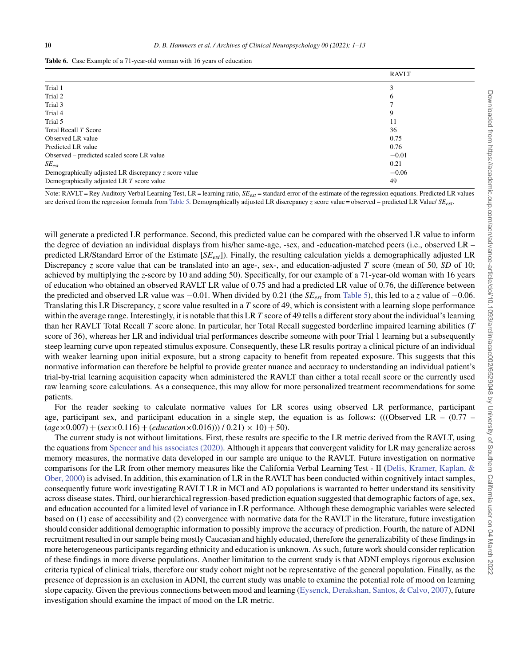<span id="page-9-0"></span>

|                                                         | <b>RAVLT</b> |
|---------------------------------------------------------|--------------|
| Trial 1                                                 | 3            |
| Trial 2                                                 | 6            |
| Trial 3                                                 |              |
| Trial 4                                                 | 9            |
| Trial 5                                                 | 11           |
| Total Recall T Score                                    | 36           |
| Observed LR value                                       | 0.75         |
| Predicted LR value                                      | 0.76         |
| Observed – predicted scaled score LR value              | $-0.01$      |
| $SE_{est}$                                              | 0.21         |
| Demographically adjusted LR discrepancy $z$ score value | $-0.06$      |
| Demographically adjusted LR T score value               | 49           |

Note: RAVLT = Rey Auditory Verbal Learning Test, LR = learning ratio,  $SE_{est}$  = standard error of the estimate of the regression equations. Predicted LR values are derived from the regression formula from [Table 5](#page-7-1). Demographically adjusted LR discrepancy *z* score value = observed – predicted LR Value/ *SEest*.

will generate a predicted LR performance. Second, this predicted value can be compared with the observed LR value to inform the degree of deviation an individual displays from his/her same-age, -sex, and -education-matched peers (i.e., observed LR – predicted LR/Standard Error of the Estimate [*SEest*]). Finally, the resulting calculation yields a demographically adjusted LR Discrepancy *z* score value that can be translated into an age-, sex-, and education-adjusted *T* score (mean of 50, *SD* of 10; achieved by multiplying the *z*-score by 10 and adding 50). Specifically, for our example of a 71-year-old woman with 16 years of education who obtained an observed RAVLT LR value of 0.75 and had a predicted LR value of 0.76, the difference between the predicted and observed LR value was −0.01. When divided by 0.21 (the *SEest* from [Table 5](#page-7-1)), this led to a *z* value of −0.06. Translating this LR Discrepancy, *z* score value resulted in a *T* score of 49, which is consistent with a learning slope performance within the average range. Interestingly, it is notable that this LR *T* score of 49 tells a different story about the individual's learning than her RAVLT Total Recall *T* score alone. In particular, her Total Recall suggested borderline impaired learning abilities (*T* score of 36), whereas her LR and individual trial performances describe someone with poor Trial 1 learning but a subsequently steep learning curve upon repeated stimulus exposure. Consequently, these LR results portray a clinical picture of an individual with weaker learning upon initial exposure, but a strong capacity to benefit from repeated exposure. This suggests that this normative information can therefore be helpful to provide greater nuance and accuracy to understanding an individual patient's trial-by-trial learning acquisition capacity when administered the RAVLT than either a total recall score or the currently used raw learning score calculations. As a consequence, this may allow for more personalized treatment recommendations for some patients.

For the reader seeking to calculate normative values for LR scores using observed LR performance, participant age, participant sex, and participant education in a single step, the equation is as follows: (((Observed LR –  $(0.77 (age\times0.007) + (sex\times0.116) + (education\times0.016))$  / 0.21)  $\times$  10) + 50).

The current study is not without limitations. First, these results are specific to the LR metric derived from the RAVLT, using the equations from [Spencer and his associates \(2020\).](#page-12-2) Although it appears that convergent validity for LR may generalize across memory measures, the normative data developed in our sample are unique to the RAVLT. Future investigation on normative comparisons for the LR from other memory measures like the California Verbal Learning Test - II ([Delis, Kramer, Kaplan, &](#page-11-29) Ober, 2000) is advised. In addition, this examination of LR in the RAVLT has been conducted within cognitively intact samples, consequently future work investigating RAVLT LR in MCI and AD populations is warranted to better understand its sensitivity across disease states. Third, our hierarchical regression-based prediction equation suggested that demographic factors of age, sex, and education accounted for a limited level of variance in LR performance. Although these demographic variables were selected based on (1) ease of accessibility and (2) convergence with normative data for the RAVLT in the literature, future investigation should consider additional demographic information to possibly improve the accuracy of prediction. Fourth, the nature of ADNI recruitment resulted in our sample being mostly Caucasian and highly educated, therefore the generalizability of these findings in more heterogeneous participants regarding ethnicity and education is unknown. As such, future work should consider replication of these findings in more diverse populations. Another limitation to the current study is that ADNI employs rigorous exclusion criteria typical of clinical trials, therefore our study cohort might not be representative of the general population. Finally, as the presence of depression is an exclusion in ADNI, the current study was unable to examine the potential role of mood on learning slope capacity. Given the previous connections between mood and learning ([Eysenck, Derakshan, Santos, & Calvo, 2007\)](#page-11-30), future investigation should examine the impact of mood on the LR metric.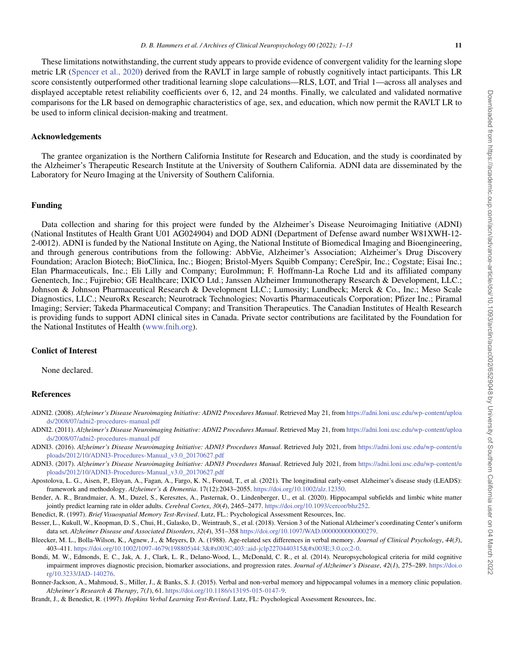These limitations notwithstanding, the current study appears to provide evidence of convergent validity for the learning slope metric LR [\(Spencer et al., 2020](#page-12-2)) derived from the RAVLT in large sample of robustly cognitively intact participants. This LR score consistently outperformed other traditional learning slope calculations—RLS, LOT, and Trial 1—across all analyses and displayed acceptable retest reliability coefficients over 6, 12, and 24 months. Finally, we calculated and validated normative comparisons for the LR based on demographic characteristics of age, sex, and education, which now permit the RAVLT LR to be used to inform clinical decision-making and treatment.

## **Acknowledgements**

The grantee organization is the Northern California Institute for Research and Education, and the study is coordinated by the Alzheimer's Therapeutic Research Institute at the University of Southern California. ADNI data are disseminated by the Laboratory for Neuro Imaging at the University of Southern California.

#### **Funding**

Data collection and sharing for this project were funded by the Alzheimer's Disease Neuroimaging Initiative (ADNI) (National Institutes of Health Grant U01 AG024904) and DOD ADNI (Department of Defense award number W81XWH-12- 2-0012). ADNI is funded by the National Institute on Aging, the National Institute of Biomedical Imaging and Bioengineering, and through generous contributions from the following: AbbVie, Alzheimer's Association; Alzheimer's Drug Discovery Foundation; Araclon Biotech; BioClinica, Inc.; Biogen; Bristol-Myers Squibb Company; CereSpir, Inc.; Cogstate; Eisai Inc.; Elan Pharmaceuticals, Inc.; Eli Lilly and Company; EuroImmun; F. Hoffmann-La Roche Ltd and its affiliated company Genentech, Inc.; Fujirebio; GE Healthcare; IXICO Ltd.; Janssen Alzheimer Immunotherapy Research & Development, LLC.; Johnson & Johnson Pharmaceutical Research & Development LLC.; Lumosity; Lundbeck; Merck & Co., Inc.; Meso Scale Diagnostics, LLC.; NeuroRx Research; Neurotrack Technologies; Novartis Pharmaceuticals Corporation; Pfizer Inc.; Piramal Imaging; Servier; Takeda Pharmaceutical Company; and Transition Therapeutics. The Canadian Institutes of Health Research is providing funds to support ADNI clinical sites in Canada. Private sector contributions are facilitated by the Foundation for the National Institutes of Health [\(www.fnih.org\)](www.fnih.org).

## **Conlict of Interest**

None declared.

#### **References**

- <span id="page-10-6"></span>ADNI2. (2008). *Alzheimer's Disease Neuroimaging Initiative: ADNI2 Procedures Manual*. Retrieved May 21, from [https://adni.loni.usc.edu/wp-content/uploa](https://adni.loni.usc.edu/wp-content/uploads/2008/07/adni2-procedures-manual.pdf) [ds/2008/07/adni2-procedures-manual.pdf](https://adni.loni.usc.edu/wp-content/uploads/2008/07/adni2-procedures-manual.pdf)
- <span id="page-10-9"></span>ADNI2. (2011). *Alzheimer's Disease Neuroimaging Initiative: ADNI2 Procedures Manual*. Retrieved May 21, from [https://adni.loni.usc.edu/wp-content/uploa](https://adni.loni.usc.edu/wp-content/uploads/2008/07/adni2-procedures-manual.pdf) [ds/2008/07/adni2-procedures-manual.pdf](https://adni.loni.usc.edu/wp-content/uploads/2008/07/adni2-procedures-manual.pdf)
- <span id="page-10-10"></span>ADNI3. (2016). *Alzheimer's Disease Neuroimaging Initiative: ADNI3 Procedures Manual*. Retrieved July 2021, from [https://adni.loni.usc.edu/wp-content/u](https://adni.loni.usc.edu/wp-content/uploads/2012/10/ADNI3-Procedures-Manual_v3.0_20170627.pdf) [ploads/2012/10/ADNI3-Procedures-Manual\\_v3.0\\_20170627.pdf](https://adni.loni.usc.edu/wp-content/uploads/2012/10/ADNI3-Procedures-Manual_v3.0_20170627.pdf)
- <span id="page-10-7"></span>ADNI3. (2017). *Alzheimer's Disease Neuroimaging Initiative: ADNI3 Procedures Manual*. Retrieved July 2021, from [https://adni.loni.usc.edu/wp-content/u](https://adni.loni.usc.edu/wp-content/uploads/2012/10/ADNI3-Procedures-Manual_v3.0_20170627.pdf) [ploads/2012/10/ADNI3-Procedures-Manual\\_v3.0\\_20170627.pdf](https://adni.loni.usc.edu/wp-content/uploads/2012/10/ADNI3-Procedures-Manual_v3.0_20170627.pdf)
- <span id="page-10-5"></span>Apostolova, L. G., Aisen, P., Eloyan, A., Fagan, A., Fargo, K. N., Foroud, T., et al. (2021). The longitudinal early-onset Alzheimer's disease study (LEADS): framework and methodology. *Alzheimer's & Dementia*. 17(12):2043–2055. [https://doi.org/10.1002/alz.12350.](https://doi.org/10.1002/alz.12350)
- <span id="page-10-0"></span>Bender, A. R., Brandmaier, A. M., Duzel, S., Keresztes, A., Pasternak, O., Lindenberger, U., et al. (2020). Hippocampal subfields and limbic white matter jointly predict learning rate in older adults. *Cerebral Cortex*, *30*(*4*), 2465–2477. [https://doi.org/10.1093/cercor/bhz252.](https://doi.org/10.1093/cercor/bhz252)

<span id="page-10-1"></span>Benedict, R. (1997). *Brief Visuospatial Memory Test-Revised*. Lutz, FL.: Psychological Assessment Resources, Inc.

- <span id="page-10-4"></span>Besser, L., Kukull, W., Knopman, D. S., Chui, H., Galasko, D., Weintraub, S., et al. (2018). Version 3 of the National Alzheimer's coordinating Center's uniform data set. *Alzheimer Disease and Associated Disorders*, *32*(*4*), 351–358 [https://doi.org/10.1097/WAD.0000000000000279.](https://doi.org/10.1097/WAD.0000000000000279)
- <span id="page-10-12"></span>Bleecker, M. L., Bolla-Wilson, K., Agnew, J., & Meyers, D. A. (1988). Age-related sex differences in verbal memory. *Journal of Clinical Psychology*, *44*(*3*), 403–411. [https://doi.org/10.1002/1097-4679\(198805\)44:3<403::aid-jclp2270440315>3.0.co;2-0.](https://doi.org/10.1002/1097-4679(198805)44:3<403::aid-jclp2270440315>3.0.co;2-0)
- <span id="page-10-8"></span>Bondi, M. W., Edmonds, E. C., Jak, A. J., Clark, L. R., Delano-Wood, L., McDonald, C. R., et al. (2014). Neuropsychological criteria for mild cognitive impairment improves diagnostic precision, biomarker associations, and progression rates. *Journal of Alzheimer's Disease*, *42*(*1*), 275–289. [https://doi.o](https://doi.org/10.3233/JAD-140276) [rg/10.3233/JAD-140276.](https://doi.org/10.3233/JAD-140276)
- <span id="page-10-2"></span>Bonner-Jackson, A., Mahmoud, S., Miller, J., & Banks, S. J. (2015). Verbal and non-verbal memory and hippocampal volumes in a memory clinic population. *Alzheimer's Research & Therapy*, *7*(*1*), 61. [https://doi.org/10.1186/s13195-015-0147-9.](https://doi.org/10.1186/s13195-015-0147-9)

<span id="page-10-11"></span><span id="page-10-3"></span>Brandt, J., & Benedict, R. (1997). *Hopkins Verbal Learning Test-Revised*. Lutz, FL: Psychological Assessment Resources, Inc.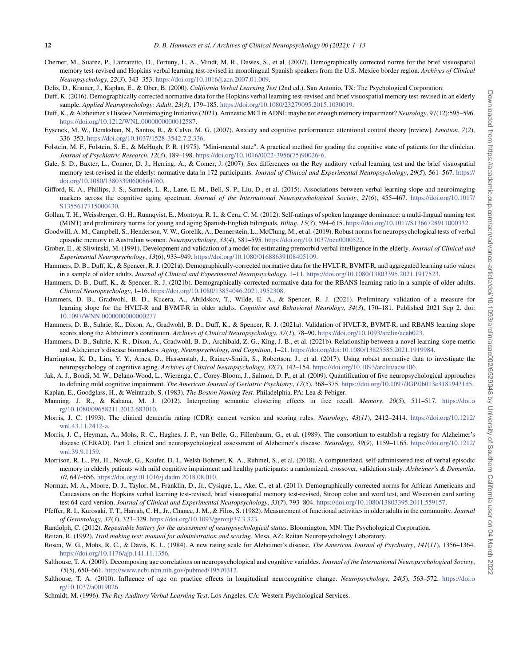- Cherner, M., Suarez, P., Lazzaretto, D., Fortuny, L. A., Mindt, M. R., Dawes, S., et al. (2007). Demographically corrected norms for the brief visuospatial memory test-revised and Hopkins verbal learning test-revised in monolingual Spanish speakers from the U.S.-Mexico border region. *Archives of Clinical Neuropsychology*, *22*(*3*), 343–353. [https://doi.org/10.1016/j.acn.2007.01.009.](https://doi.org/10.1016/j.acn.2007.01.009)
- <span id="page-11-29"></span>Delis, D., Kramer, J., Kaplan, E., & Ober, B. (2000). *California Verbal Learning Test* (2nd ed.). San Antonio, TX: The Psychological Corporation.
- <span id="page-11-26"></span>Duff, K. (2016). Demographically corrected normative data for the Hopkins verbal learning test-revised and brief visuospatial memory test-revised in an elderly sample. *Applied Neuropsychology: Adult*, *23*(*3*), 179–185. [https://doi.org/10.1080/23279095.2015.1030019.](https://doi.org/10.1080/23279095.2015.1030019)
- <span id="page-11-14"></span>Duff, K., & Alzheimer's Disease Neuroimaging Initiative (2021). Amnestic MCI in ADNI: maybe not enough memory impairment? *Neurology*. 97(12):595–596. [https://doi.org/10.1212/WNL.0000000000012587.](https://doi.org/10.1212/WNL.0000000000012587)
- <span id="page-11-30"></span>Eysenck, M. W., Derakshan, N., Santos, R., & Calvo, M. G. (2007). Anxiety and cognitive performance: attentional control theory [review]. *Emotion*, *7*(*2*), 336–353. [https://doi.org/10.1037/1528-3542.7.2.336.](https://doi.org/10.1037/1528-3542.7.2.336)
- <span id="page-11-23"></span>Folstein, M. F., Folstein, S. E., & McHugh, P. R. (1975). "Mini-mental state". A practical method for grading the cognitive state of patients for the clinician. *Journal of Psychiatric Research*, *12*(*3*), 189–198. [https://doi.org/10.1016/0022-3956\(75\)90026-6.](https://doi.org/10.1016/0022-3956(75)90026-6)
- <span id="page-11-13"></span>Gale, S. D., Baxter, L., Connor, D. J., Herring, A., & Comer, J. (2007). Sex differences on the Rey auditory verbal learning test and the brief visuospatial memory test-revised in the elderly: normative data in 172 participants. *Journal of Clinical and Experimental Neuropsychology*, *29*(*5*), 561–567. [https://](https://doi.org/10.1080/13803390600864760) [doi.org/10.1080/13803390600864760.](https://doi.org/10.1080/13803390600864760)
- <span id="page-11-1"></span>Gifford, K. A., Phillips, J. S., Samuels, L. R., Lane, E. M., Bell, S. P., Liu, D., et al. (2015). Associations between verbal learning slope and neuroimaging markers across the cognitive aging spectrum. *Journal of the International Neuropsychological Society*, *21*(*6*), 455–467. [https://doi.org/10.1017/](https://doi.org/10.1017/S1355617715000430) [S1355617715000430.](https://doi.org/10.1017/S1355617715000430)
- <span id="page-11-19"></span>Gollan, T. H., Weissberger, G. H., Runnqvist, E., Montoya, R. I., & Cera, C. M. (2012). Self-ratings of spoken language dominance: a multi-lingual naming test (MINT) and preliminary norms for young and aging Spanish-English bilinguals. *Biling*, *15*(*3*), 594–615. [https://doi.org/10.1017/S1366728911000332.](https://doi.org/10.1017/S1366728911000332)
- <span id="page-11-11"></span>Goodwill, A. M., Campbell, S., Henderson, V. W., Gorelik, A., Dennerstein, L., McClung, M., et al. (2019). Robust norms for neuropsychological tests of verbal episodic memory in Australian women. *Neuropsychology*, *33*(*4*), 581–595. [https://doi.org/10.1037/neu0000522.](https://doi.org/10.1037/neu0000522)
- <span id="page-11-22"></span>Grober, E., & Sliwinski, M. (1991). Development and validation of a model for estimating premorbid verbal intelligence in the elderly. *Journal of Clinical and Experimental Neuropsychology*, *13*(*6*), 933–949. [https://doi.org/10.1080/01688639108405109.](https://doi.org/10.1080/01688639108405109)
- <span id="page-11-9"></span>Hammers, D. B., Duff, K., & Spencer, R. J. (2021a). Demographically-corrected normative data for the HVLT-R, BVMT-R, and aggregated learning ratio values in a sample of older adults. *Journal of Clinical and Experimental Neuropsychology*, 1–11. [https://doi.org/10.1080/13803395.2021.1917523.](https://doi.org/10.1080/13803395.2021.1917523)
- <span id="page-11-10"></span>Hammers, D. B., Duff, K., & Spencer, R. J. (2021b). Demographically-corrected normative data for the RBANS learning ratio in a sample of older adults. *Clinical Neuropsychology*, 1–16. [https://doi.org/10.1080/13854046.2021.1952308.](https://doi.org/10.1080/13854046.2021.1952308)
- <span id="page-11-8"></span>Hammers, D. B., Gradwohl, B. D., Kucera, A., Abildskov, T., Wilde, E. A., & Spencer, R. J. (2021). Preliminary validation of a measure for learning slope for the HVLT-R and BVMT-R in older adults. *Cognitive and Behavioral Neurology*, *34*(*3*), 170–181. Published 2021 Sep 2. doi: <10.1097/WNN.0000000000000277>
- <span id="page-11-0"></span>Hammers, D. B., Suhrie, K., Dixon, A., Gradwohl, B. D., Duff, K., & Spencer, R. J. (2021a). Validation of HVLT-R, BVMT-R, and RBANS learning slope scores along the Alzheimer's continuum. *Archives of Clinical Neuropsychology*, *37*(*1*), 78–90. [https://doi.org/10.1093/arclin/acab023.](https://doi.org/10.1093/arclin/acab023)
- <span id="page-11-2"></span>Hammers, D. B., Suhrie, K. R., Dixon, A., Gradwohl, B. D., Archibald, Z. G., King, J. B., et al. (2021b). Relationship between a novel learning slope metric and Alzheimer's disease biomarkers. *Aging, Neuropsychology, and Cognition*, 1–21. [https://doi.org/doi:10.1080/13825585.2021.1919984.](https://doi.org/doi: 10.1080/13825585.2021.1919984)
- <span id="page-11-12"></span>Harrington, K. D., Lim, Y. Y., Ames, D., Hassenstab, J., Rainey-Smith, S., Robertson, J., et al. (2017). Using robust normative data to investigate the neuropsychology of cognitive aging. *Archives of Clinical Neuropsychology*, *32*(*2*), 142–154. [https://doi.org/10.1093/arclin/acw106.](https://doi.org/10.1093/arclin/acw106)
- <span id="page-11-15"></span>Jak, A. J., Bondi, M. W., Delano-Wood, L., Wierenga, C., Corey-Bloom, J., Salmon, D. P., et al. (2009). Quantification of five neuropsychological approaches to defining mild cognitive impairment. *The American Journal of Geriatric Psychiatry*, *17*(*5*), 368–375. [https://doi.org/10.1097/JGP.0b013e31819431d5.](https://doi.org/10.1097/JGP.0b013e31819431d5)
- <span id="page-11-18"></span>Kaplan, E., Goodglass, H., & Weintraub, S. (1983). *The Boston Naming Test*. Philadelphia, PA: Lea & Febiger.
- <span id="page-11-28"></span>Manning, J. R., & Kahana, M. J. (2012). Interpreting semantic clustering effects in free recall. *Memory*, *20*(*5*), 511–517. [https://doi.o](https://doi.org/10.1080/09658211.2012.683010) [rg/10.1080/09658211.2012.683010.](https://doi.org/10.1080/09658211.2012.683010)
- <span id="page-11-24"></span>Morris, J. C. (1993). The clinical dementia rating (CDR): current version and scoring rules. *Neurology*, *43*(*11*), 2412–2414. [https://doi.org/10.1212/](https://doi.org/10.1212/wnl.43.11.2412-a) [wnl.43.11.2412-a.](https://doi.org/10.1212/wnl.43.11.2412-a)
- <span id="page-11-17"></span>Morris, J. C., Heyman, A., Mohs, R. C., Hughes, J. P., van Belle, G., Fillenbaum, G., et al. (1989). The consortium to establish a registry for Alzheimer's disease (CERAD). Part I. clinical and neuropsychological assessment of Alzheimer's disease. *Neurology*, *39*(*9*), 1159–1165. [https://doi.org/10.1212/](https://doi.org/10.1212/wnl.39.9.1159) [wnl.39.9.1159.](https://doi.org/10.1212/wnl.39.9.1159)
- <span id="page-11-4"></span>Morrison, R. L., Pei, H., Novak, G., Kaufer, D. I., Welsh-Bohmer, K. A., Ruhmel, S., et al. (2018). A computerized, self-administered test of verbal episodic memory in elderly patients with mild cognitive impairment and healthy participants: a randomized, crossover, validation study. *Alzheimer's & Dementia*, *10*, 647–656. [https://doi.org/10.1016/j.dadm.2018.08.010.](https://doi.org/10.1016/j.dadm.2018.08.010)
- <span id="page-11-27"></span>Norman, M. A., Moore, D. J., Taylor, M., Franklin, D., Jr., Cysique, L., Ake, C., et al. (2011). Demographically corrected norms for African Americans and Caucasians on the Hopkins verbal learning test-revised, brief visuospatial memory test-revised, Stroop color and word test, and Wisconsin card sorting test 64-card version. *Journal of Clinical and Experimental Neuropsychology*, *33*(*7*), 793–804. [https://doi.org/10.1080/13803395.2011.559157.](https://doi.org/10.1080/13803395.2011.559157)
- <span id="page-11-20"></span>Pfeffer, R. I., Kurosaki, T. T., Harrah, C. H., Jr., Chance, J. M., & Filos, S. (1982). Measurement of functional activities in older adults in the community. *Journal of Gerontology*, *37*(*3*), 323–329. [https://doi.org/10.1093/geronj/37.3.323.](https://doi.org/10.1093/geronj/37.3.323)
- <span id="page-11-7"></span>Randolph, C. (2012). *Repeatable battery for the assessment of neuropsychological status*. Bloomington, MN: The Psychological Corporation.
- <span id="page-11-16"></span>Reitan, R. (1992). *Trail making test: manual for administration and scoring*. Mesa, AZ: Reitan Neuropsychology Laboratory.
- <span id="page-11-21"></span>Rosen, W. G., Mohs, R. C., & Davis, K. L. (1984). A new rating scale for Alzheimer's disease. *The American Journal of Psychiatry*, *141*(*11*), 1356–1364. [https://doi.org/10.1176/ajp.141.11.1356.](https://doi.org/10.1176/ajp.141.11.1356)
- <span id="page-11-5"></span>Salthouse, T. A. (2009). Decomposing age correlations on neuropsychological and cognitive variables. *Journal of the International Neuropsychological Society*, *15*(*5*), 650–661. [http://www.ncbi.nlm.nih.gov/pubmed/19570312.](http://www.ncbi.nlm.nih.gov/pubmed/19570312)
- <span id="page-11-6"></span>Salthouse, T. A. (2010). Influence of age on practice effects in longitudinal neurocognitive change. *Neuropsychology*, *24*(*5*), 563–572. [https://doi.o](https://doi.org/10.1037/a0019026) [rg/10.1037/a0019026.](https://doi.org/10.1037/a0019026)
- <span id="page-11-25"></span><span id="page-11-3"></span>Schmidt, M. (1996). *The Rey Auditory Verbal Learning Test*. Los Angeles, CA: Western Psychological Services.